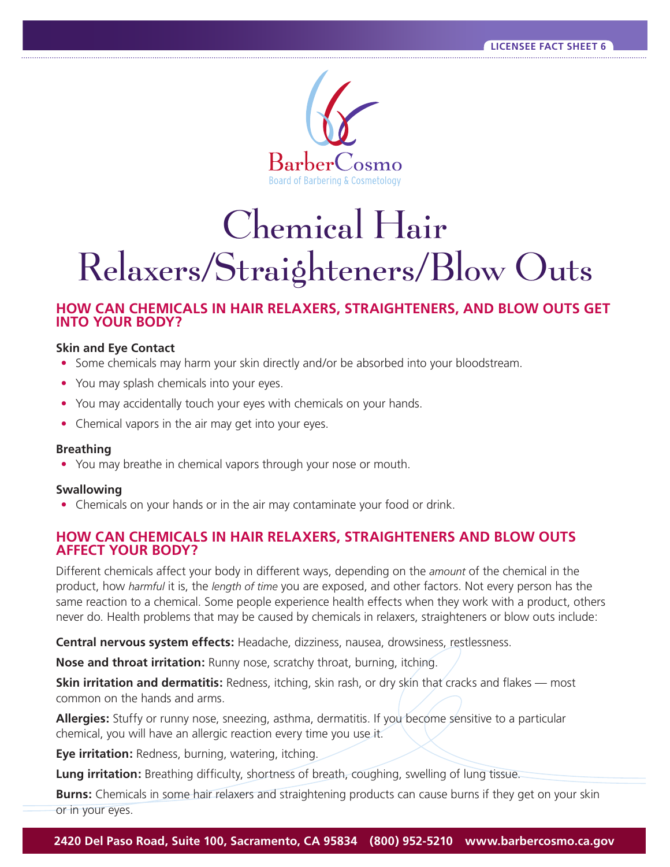

# Chemical Hair Relaxers/Straighteners/Blow Outs

# **HOW CAN CHEMICALS IN HAIR RELAXERS, STRAIGHTENERS, AND BLOW OUTS GET INTO YOUR BODY?**

#### **Skin and Eye Contact**

- Some chemicals may harm your skin directly and/or be absorbed into your bloodstream.
- You may splash chemicals into your eyes.
- You may accidentally touch your eyes with chemicals on your hands.
- Chemical vapors in the air may get into your eyes.

#### **Breathing**

**•** You may breathe in chemical vapors through your nose or mouth.

#### **Swallowing**

**•** Chemicals on your hands or in the air may contaminate your food or drink.

### **HOW CAN CHEMICALS IN HAIR RELAXERS, STRAIGHTENERS AND BLOW OUTS AFFECT YOUR BODY?**

Different chemicals affect your body in different ways, depending on the *amount* of the chemical in the product, how *harmful* it is, the *length of time* you are exposed, and other factors. Not every person has the same reaction to a chemical. Some people experience health effects when they work with a product, others never do. Health problems that may be caused by chemicals in relaxers, straighteners or blow outs include:

**Central nervous system effects:** Headache, dizziness, nausea, drowsiness, restlessness.

**Nose and throat irritation:** Runny nose, scratchy throat, burning, itching.

**Skin irritation and dermatitis:** Redness, itching, skin rash, or dry skin that cracks and flakes — most common on the hands and arms.

**Allergies:** Stuffy or runny nose, sneezing, asthma, dermatitis. If you become sensitive to a particular chemical, you will have an allergic reaction every time you use it.

**Eye irritation:** Redness, burning, watering, itching.

**Lung irritation:** Breathing difficulty, shortness of breath, coughing, swelling of lung tissue.

**Burns:** Chemicals in some hair relaxers and straightening products can cause burns if they get on your skin or in your eyes.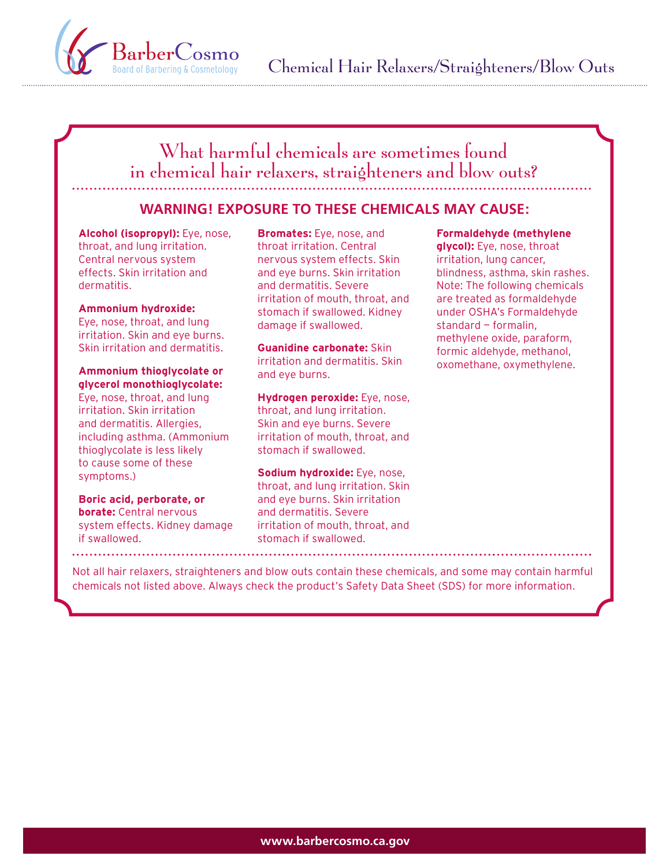

# What harmful chemicals are sometimes found in chemical hair relaxers, straighteners and blow outs?

# **WARNING! EXPOSURE TO THESE CHEMICALS MAY CAUSE:**

**Alcohol (isopropyl):** Eye, nose, throat, and lung irritation. Central nervous system effects. Skin irritation and dermatitis.

#### **Ammonium hydroxide:**

Eye, nose, throat, and lung irritation. Skin and eye burns. Skin irritation and dermatitis.

#### **Ammonium thioglycolate or glycerol monothioglycolate:**

Eye, nose, throat, and lung irritation. Skin irritation and dermatitis. Allergies, including asthma. (Ammonium thioglycolate is less likely to cause some of these symptoms.)

#### **Boric acid, perborate, or borate:** Central nervous system effects. Kidney damage if swallowed.

**Bromates:** Eye, nose, and throat irritation. Central nervous system effects. Skin and eye burns. Skin irritation and dermatitis. Severe irritation of mouth, throat, and stomach if swallowed. Kidney damage if swallowed.

**Guanidine carbonate:** Skin irritation and dermatitis. Skin and eye burns.

**Hydrogen peroxide:** Eye, nose, throat, and lung irritation. Skin and eye burns. Severe irritation of mouth, throat, and stomach if swallowed.

**Sodium hydroxide:** Eye, nose, throat, and lung irritation. Skin and eye burns. Skin irritation and dermatitis. Severe irritation of mouth, throat, and stomach if swallowed.

#### **Formaldehyde (methylene**

**glycol):** Eye, nose, throat irritation, lung cancer, blindness, asthma, skin rashes. Note: The following chemicals are treated as formaldehyde under OSHA's Formaldehyde standard — formalin, methylene oxide, paraform, formic aldehyde, methanol, oxomethane, oxymethylene.

Not all hair relaxers, straighteners and blow outs contain these chemicals, and some may contain harmful chemicals not listed above. Always check the product's Safety Data Sheet (SDS) for more information.

. . . . . . . . . . . . . .